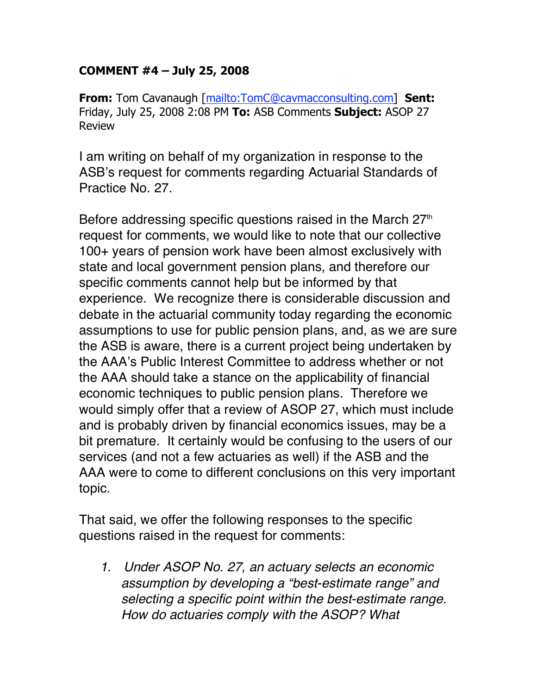## **COMMENT #4 – July 25, 2008**

**From:** Tom Cavanaugh [mailto:TomC@cavmacconsulting.com] **Sent:** Friday, July 25, 2008 2:08 PM **To:** ASB Comments **Subject:** ASOP 27 Review

I am writing on behalf of my organization in response to the ASB's request for comments regarding Actuarial Standards of Practice No. 27.

Before addressing specific questions raised in the March  $27<sup>th</sup>$ request for comments, we would like to note that our collective 100+ years of pension work have been almost exclusively with state and local government pension plans, and therefore our specific comments cannot help but be informed by that experience. We recognize there is considerable discussion and debate in the actuarial community today regarding the economic assumptions to use for public pension plans, and, as we are sure the ASB is aware, there is a current project being undertaken by the AAA's Public Interest Committee to address whether or not the AAA should take a stance on the applicability of financial economic techniques to public pension plans. Therefore we would simply offer that a review of ASOP 27, which must include and is probably driven by financial economics issues, may be a bit premature. It certainly would be confusing to the users of our services (and not a few actuaries as well) if the ASB and the AAA were to come to different conclusions on this very important topic.

That said, we offer the following responses to the specific questions raised in the request for comments:

*1. Under ASOP No. 27, an actuary selects an economic assumption by developing a "best-estimate range" and selecting a specific point within the best-estimate range. How do actuaries comply with the ASOP? What*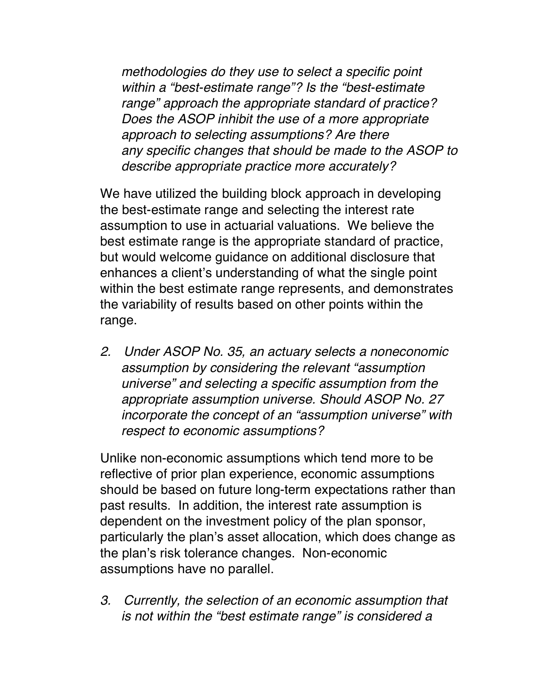*methodologies do they use to select a specific point within a "best-estimate range"? Is the "best-estimate range" approach the appropriate standard of practice? Does the ASOP inhibit the use of a more appropriate approach to selecting assumptions? Are there any specific changes that should be made to the ASOP to describe appropriate practice more accurately?*

We have utilized the building block approach in developing the best-estimate range and selecting the interest rate assumption to use in actuarial valuations. We believe the best estimate range is the appropriate standard of practice, but would welcome guidance on additional disclosure that enhances a client's understanding of what the single point within the best estimate range represents, and demonstrates the variability of results based on other points within the range.

*2. Under ASOP No. 35, an actuary selects a noneconomic assumption by considering the relevant "assumption universe" and selecting a specific assumption from the appropriate assumption universe. Should ASOP No. 27 incorporate the concept of an "assumption universe" with respect to economic assumptions?*

Unlike non-economic assumptions which tend more to be reflective of prior plan experience, economic assumptions should be based on future long-term expectations rather than past results. In addition, the interest rate assumption is dependent on the investment policy of the plan sponsor, particularly the plan's asset allocation, which does change as the plan's risk tolerance changes. Non-economic assumptions have no parallel.

*3. Currently, the selection of an economic assumption that is not within the "best estimate range" is considered a*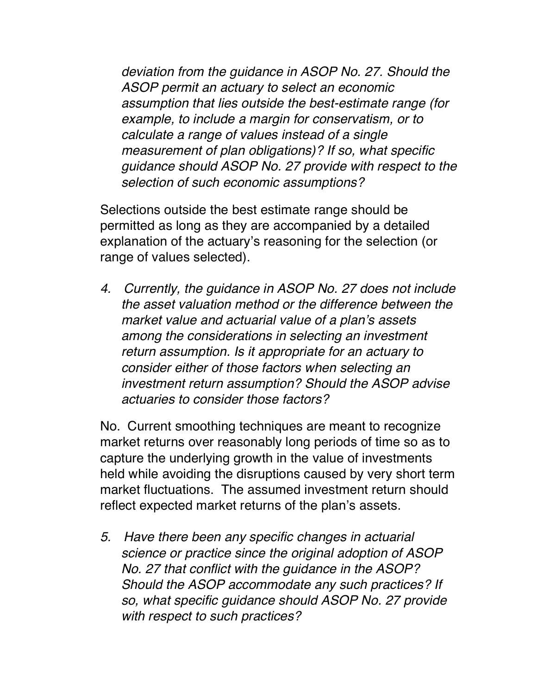*deviation from the guidance in ASOP No. 27. Should the ASOP permit an actuary to select an economic assumption that lies outside the best-estimate range (for example, to include a margin for conservatism, or to calculate a range of values instead of a single measurement of plan obligations)? If so, what specific guidance should ASOP No. 27 provide with respect to the selection of such economic assumptions?*

Selections outside the best estimate range should be permitted as long as they are accompanied by a detailed explanation of the actuary's reasoning for the selection (or range of values selected).

*4. Currently, the guidance in ASOP No. 27 does not include the asset valuation method or the difference between the market value and actuarial value of a plan*'*s assets among the considerations in selecting an investment return assumption. Is it appropriate for an actuary to consider either of those factors when selecting an investment return assumption? Should the ASOP advise actuaries to consider those factors?*

No. Current smoothing techniques are meant to recognize market returns over reasonably long periods of time so as to capture the underlying growth in the value of investments held while avoiding the disruptions caused by very short term market fluctuations. The assumed investment return should reflect expected market returns of the plan's assets.

*5. Have there been any specific changes in actuarial science or practice since the original adoption of ASOP No. 27 that conflict with the guidance in the ASOP? Should the ASOP accommodate any such practices? If so, what specific guidance should ASOP No. 27 provide with respect to such practices?*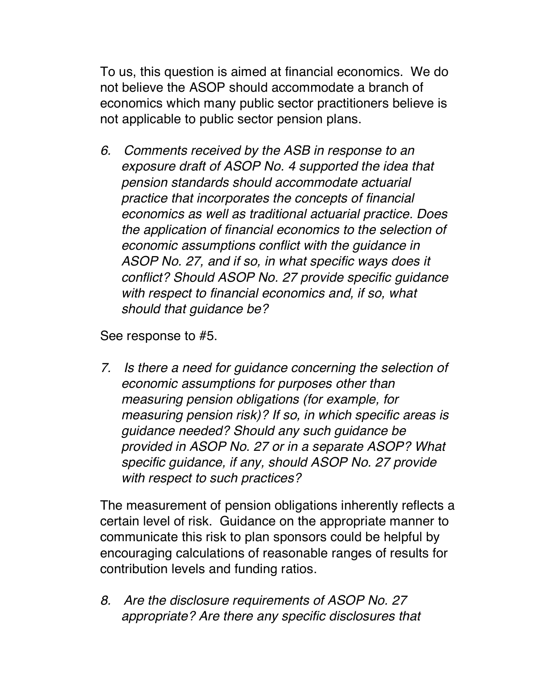To us, this question is aimed at financial economics. We do not believe the ASOP should accommodate a branch of economics which many public sector practitioners believe is not applicable to public sector pension plans.

*6. Comments received by the ASB in response to an exposure draft of ASOP No. 4 supported the idea that pension standards should accommodate actuarial practice that incorporates the concepts of financial economics as well as traditional actuarial practice. Does the application of financial economics to the selection of economic assumptions conflict with the guidance in ASOP No. 27, and if so, in what specific ways does it conflict? Should ASOP No. 27 provide specific guidance with respect to financial economics and, if so, what should that guidance be?*

See response to #5.

*7. Is there a need for guidance concerning the selection of economic assumptions for purposes other than measuring pension obligations (for example, for measuring pension risk)? If so, in which specific areas is guidance needed? Should any such guidance be provided in ASOP No. 27 or in a separate ASOP? What specific guidance, if any, should ASOP No. 27 provide with respect to such practices?*

The measurement of pension obligations inherently reflects a certain level of risk. Guidance on the appropriate manner to communicate this risk to plan sponsors could be helpful by encouraging calculations of reasonable ranges of results for contribution levels and funding ratios.

*8. Are the disclosure requirements of ASOP No. 27 appropriate? Are there any specific disclosures that*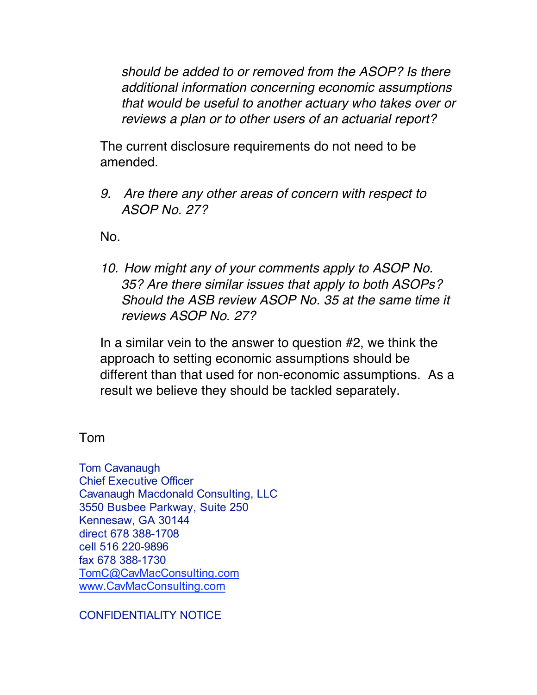*should be added to or removed from the ASOP? Is there additional information concerning economic assumptions that would be useful to another actuary who takes over or reviews a plan or to other users of an actuarial report?*

The current disclosure requirements do not need to be amended.

*9. Are there any other areas of concern with respect to ASOP No. 27?*

No.

*10. How might any of your comments apply to ASOP No. 35? Are there similar issues that apply to both ASOPs? Should the ASB review ASOP No. 35 at the same time it reviews ASOP No. 27?*

In a similar vein to the answer to question #2, we think the approach to setting economic assumptions should be different than that used for non-economic assumptions. As a result we believe they should be tackled separately.

Tom

Tom Cavanaugh Chief Executive Officer Cavanaugh Macdonald Consulting, LLC 3550 Busbee Parkway, Suite 250 Kennesaw, GA 30144 direct 678 388-1708 cell 516 220-9896 fax 678 388-1730 TomC@CavMacConsulting.com www.CavMacConsulting.com

CONFIDENTIALITY NOTICE